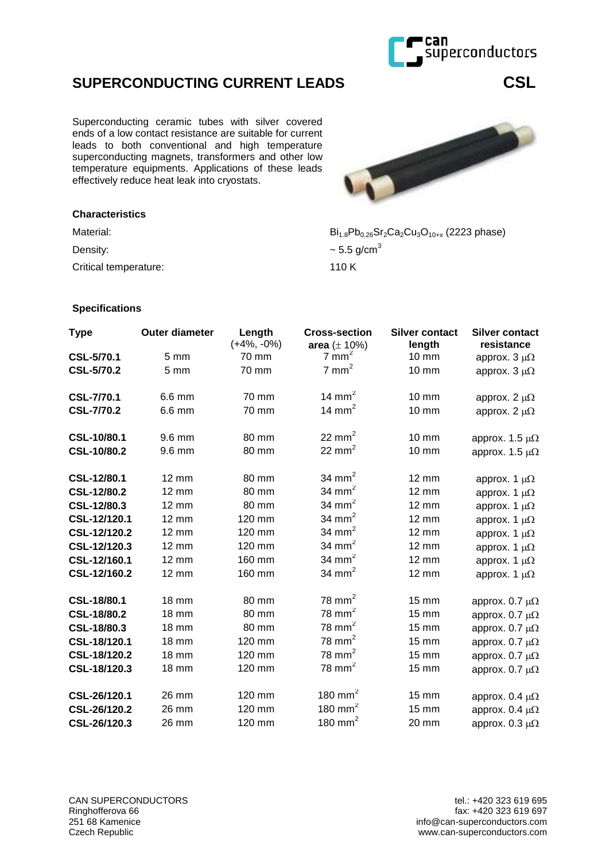

Czech Republic

## **SUPERCONDUCTING CURRENT LEADS CSL**

Superconducting ceramic tubes with silver covered ends of a low contact resistance are suitable for current leads to both conventional and high temperature superconducting magnets, transformers and other low temperature equipments. Applications of these leads effectively reduce heat leak into cryostats.

## **Characteristics**

Material:  $Bi_{1.8}Pb_{0.26}Sr_2Ca_2Cu_3O_{10+x}$  (2223 phase)

Density:  $\sim$  5.5 g/cm<sup>3</sup>

Critical temperature: 110 K

## **Specifications**

| <b>Type</b>       | <b>Outer diameter</b> | Length<br>$(+4\%, -0\%)$ | <b>Cross-section</b><br>area $(\pm 10\%)$ | <b>Silver contact</b><br>length | <b>Silver contact</b><br>resistance |
|-------------------|-----------------------|--------------------------|-------------------------------------------|---------------------------------|-------------------------------------|
| <b>CSL-5/70.1</b> | 5 <sub>mm</sub>       | 70 mm                    | $7 \text{ mm}^2$                          | 10 mm                           | approx. $3 \mu\Omega$               |
| <b>CSL-5/70.2</b> | 5 <sub>mm</sub>       | 70 mm                    | $7 \text{ mm}^2$                          | <b>10 mm</b>                    | approx. $3 \mu\Omega$               |
| <b>CSL-7/70.1</b> | 6.6 mm                | 70 mm                    | 14 mm <sup>2</sup>                        | $10 \text{ mm}$                 | approx. 2 $\mu\Omega$               |
| <b>CSL-7/70.2</b> | 6.6 mm                | 70 mm                    | 14 mm $2$                                 | <b>10 mm</b>                    | approx. 2 $\mu\Omega$               |
| CSL-10/80.1       | 9.6 mm                | 80 mm                    | 22 $mm2$                                  | <b>10 mm</b>                    | approx. 1.5 $\mu\Omega$             |
| CSL-10/80.2       | 9.6 mm                | 80 mm                    | 22 $mm2$                                  | <b>10 mm</b>                    | approx. 1.5 $\mu\Omega$             |
| CSL-12/80.1       | 12 mm                 | 80 mm                    | 34 mm <sup>2</sup>                        | <b>12 mm</b>                    | approx. 1 $\mu\Omega$               |
| CSL-12/80.2       | 12 mm                 | 80 mm                    | 34 mm $2$                                 | <b>12 mm</b>                    | approx. 1 $\mu\Omega$               |
| CSL-12/80.3       | $12 \text{ mm}$       | 80 mm                    | 34 mm <sup>2</sup>                        | $12 \text{ mm}$                 | approx. 1 $\mu\Omega$               |
| CSL-12/120.1      | $12 \text{ mm}$       | 120 mm                   | 34 mm $2$                                 | <b>12 mm</b>                    | approx. 1 $\mu\Omega$               |
| CSL-12/120.2      | 12 mm                 | 120 mm                   | 34 mm $2$                                 | <b>12 mm</b>                    | approx. 1 $\mu\Omega$               |
| CSL-12/120.3      | 12 mm                 | 120 mm                   | 34 mm <sup>2</sup>                        | <b>12 mm</b>                    | approx. 1 $\mu\Omega$               |
| CSL-12/160.1      | 12 mm                 | 160 mm                   | 34 mm $2$                                 | 12 mm                           | approx. 1 $\mu\Omega$               |
| CSL-12/160.2      | 12 mm                 | 160 mm                   | 34 mm $2$                                 | 12 mm                           | approx. 1 $\mu\Omega$               |
| CSL-18/80.1       | <b>18 mm</b>          | 80 mm                    | 78 mm $2$                                 | $15 \text{ mm}$                 | approx. $0.7 \mu\Omega$             |
| CSL-18/80.2       | <b>18 mm</b>          | 80 mm                    | $78 \text{ mm}^2$                         | <b>15 mm</b>                    | approx. $0.7 \mu\Omega$             |
| CSL-18/80.3       | <b>18 mm</b>          | 80 mm                    | 78 mm $2$                                 | <b>15 mm</b>                    | approx. $0.7 \mu\Omega$             |
| CSL-18/120.1      | <b>18 mm</b>          | 120 mm                   | $78 \text{ mm}^2$                         | <b>15 mm</b>                    | approx. $0.7 \mu\Omega$             |
| CSL-18/120.2      | <b>18 mm</b>          | 120 mm                   | 78 mm $^2$                                | <b>15 mm</b>                    | approx. $0.7 \mu\Omega$             |
| CSL-18/120.3      | <b>18 mm</b>          | 120 mm                   | $78 \text{ mm}^2$                         | <b>15 mm</b>                    | approx. $0.7 \mu\Omega$             |
| CSL-26/120.1      | 26 mm                 | 120 mm                   | 180 mm $^2$                               | <b>15 mm</b>                    | approx. $0.4 \mu\Omega$             |
| CSL-26/120.2      | 26 mm                 | 120 mm                   | 180 mm $^2$                               | <b>15 mm</b>                    | approx. $0.4 \mu\Omega$             |
| CSL-26/120.3      | 26 mm                 | 120 mm                   | 180 mm $2$                                | 20 mm                           | approx. $0.3 \mu\Omega$             |



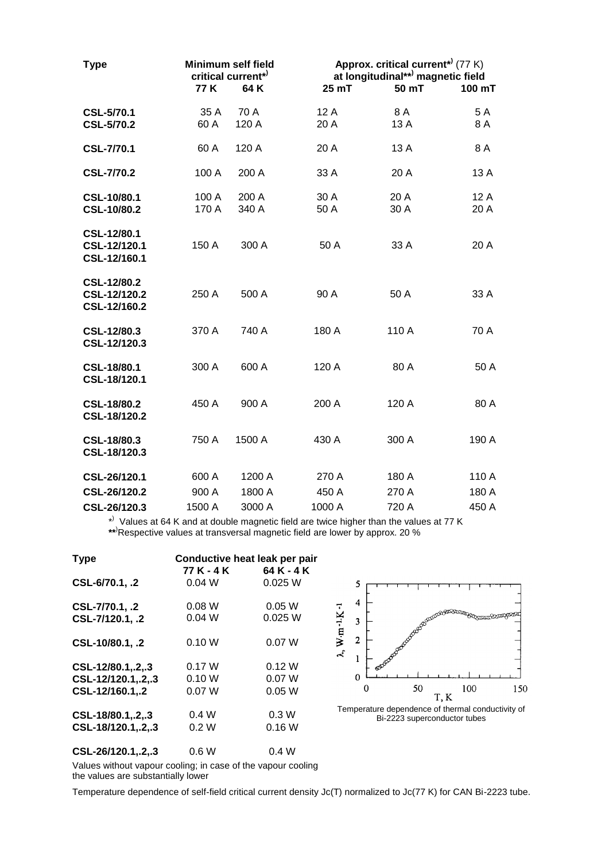| <b>Type</b>                                 | <b>Minimum self field</b><br>critical current*<br>77 K<br>64K |                | Approx. critical current <sup>*</sup> (77 K)<br>at longitudinal**) magnetic field<br>25 mT<br>50 mT<br>100 mT |              |              |
|---------------------------------------------|---------------------------------------------------------------|----------------|---------------------------------------------------------------------------------------------------------------|--------------|--------------|
|                                             |                                                               |                |                                                                                                               |              |              |
| <b>CSL-5/70.1</b><br><b>CSL-5/70.2</b>      | 35 A<br>60 A                                                  | 70 A<br>120 A  | 12 A<br>20 A                                                                                                  | 8 A<br>13 A  | 5A<br>8A     |
| <b>CSL-7/70.1</b>                           | 60 A                                                          | 120 A          | 20A                                                                                                           | 13 A         | 8 A          |
| <b>CSL-7/70.2</b>                           | 100 A                                                         | 200 A          | 33 A                                                                                                          | 20 A         | 13 A         |
| CSL-10/80.1<br>CSL-10/80.2                  | 100 A<br>170 A                                                | 200 A<br>340 A | 30 A<br>50 A                                                                                                  | 20 A<br>30 A | 12 A<br>20 A |
| CSL-12/80.1<br>CSL-12/120.1<br>CSL-12/160.1 | 150 A                                                         | 300 A          | 50 A                                                                                                          | 33 A         | 20 A         |
| CSL-12/80.2<br>CSL-12/120.2<br>CSL-12/160.2 | 250 A                                                         | 500 A          | 90 A                                                                                                          | 50 A         | 33 A         |
| CSL-12/80.3<br>CSL-12/120.3                 | 370 A                                                         | 740 A          | 180 A                                                                                                         | 110 A        | 70 A         |
| CSL-18/80.1<br>CSL-18/120.1                 | 300 A                                                         | 600 A          | 120 A                                                                                                         | 80 A         | 50 A         |
| CSL-18/80.2<br>CSL-18/120.2                 | 450 A                                                         | 900 A          | 200 A                                                                                                         | 120 A        | 80 A         |
| CSL-18/80.3<br>CSL-18/120.3                 | 750 A                                                         | 1500 A         | 430 A                                                                                                         | 300 A        | 190 A        |
| CSL-26/120.1                                | 600 A                                                         | 1200 A         | 270 A                                                                                                         | 180 A        | 110 A        |
| CSL-26/120.2                                | 900 A                                                         | 1800 A         | 450 A                                                                                                         | 270 A        | 180 A        |
| CSL-26/120.3                                | 1500 A                                                        | 3000 A         | 1000 A                                                                                                        | 720 A        | 450 A        |

\*) Values at 64 K and at double magnetic field are twice higher than the values at 77 K **\*\***)Respective values at transversal magnetic field are lower by approx. 20 %

| <b>Type</b>                                                | Conductive heat leak per pair<br>77 K - 4 K<br>64 K - 4 K |                           |  |  |
|------------------------------------------------------------|-----------------------------------------------------------|---------------------------|--|--|
| CSL-6/70.1, .2                                             | 0.04 W                                                    | 0.025 W                   |  |  |
| CSL-7/70.1, .2<br>CSL-7/120.1, .2                          | 0.08 W<br>0.04 W                                          | 0.05W<br>0.025 W          |  |  |
| CSL-10/80.1, .2                                            | 0.10 W                                                    | 0.07 W                    |  |  |
| CSL-12/80.1, 2, 3<br>CSL-12/120.1,.2,.3<br>CSL-12/160.1,.2 | 0.17 W<br>0.10 W<br>0.07 W                                | 0.12 W<br>0.07 W<br>0.05W |  |  |
| CSL-18/80.1, 2, 3<br>CSL-18/120.1,.2,.3                    | 0.4W<br>0.2 W                                             | 0.3W<br>0.16W             |  |  |
| CSL-26/120.1, 2, 3                                         | 0.6W                                                      | 0.4W                      |  |  |



Values without vapour cooling; in case of the vapour cooling the values are substantially lower

Temperature dependence of self-field critical current density Jc(T) normalized to Jc(77 K) for CAN Bi-2223 tube.